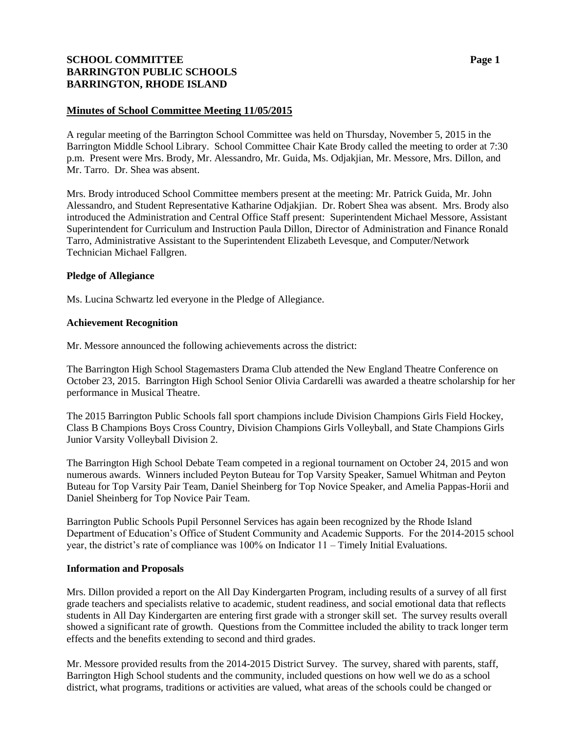# **SCHOOL COMMITTEE Page 1 BARRINGTON PUBLIC SCHOOLS BARRINGTON, RHODE ISLAND**

## **Minutes of School Committee Meeting 11/05/2015**

A regular meeting of the Barrington School Committee was held on Thursday, November 5, 2015 in the Barrington Middle School Library. School Committee Chair Kate Brody called the meeting to order at 7:30 p.m. Present were Mrs. Brody, Mr. Alessandro, Mr. Guida, Ms. Odjakjian, Mr. Messore, Mrs. Dillon, and Mr. Tarro. Dr. Shea was absent.

Mrs. Brody introduced School Committee members present at the meeting: Mr. Patrick Guida, Mr. John Alessandro, and Student Representative Katharine Odjakjian. Dr. Robert Shea was absent. Mrs. Brody also introduced the Administration and Central Office Staff present: Superintendent Michael Messore, Assistant Superintendent for Curriculum and Instruction Paula Dillon, Director of Administration and Finance Ronald Tarro, Administrative Assistant to the Superintendent Elizabeth Levesque, and Computer/Network Technician Michael Fallgren.

#### **Pledge of Allegiance**

Ms. Lucina Schwartz led everyone in the Pledge of Allegiance.

#### **Achievement Recognition**

Mr. Messore announced the following achievements across the district:

The Barrington High School Stagemasters Drama Club attended the New England Theatre Conference on October 23, 2015. Barrington High School Senior Olivia Cardarelli was awarded a theatre scholarship for her performance in Musical Theatre.

The 2015 Barrington Public Schools fall sport champions include Division Champions Girls Field Hockey, Class B Champions Boys Cross Country, Division Champions Girls Volleyball, and State Champions Girls Junior Varsity Volleyball Division 2.

The Barrington High School Debate Team competed in a regional tournament on October 24, 2015 and won numerous awards. Winners included Peyton Buteau for Top Varsity Speaker, Samuel Whitman and Peyton Buteau for Top Varsity Pair Team, Daniel Sheinberg for Top Novice Speaker, and Amelia Pappas-Horii and Daniel Sheinberg for Top Novice Pair Team.

Barrington Public Schools Pupil Personnel Services has again been recognized by the Rhode Island Department of Education's Office of Student Community and Academic Supports. For the 2014-2015 school year, the district's rate of compliance was 100% on Indicator 11 – Timely Initial Evaluations.

#### **Information and Proposals**

Mrs. Dillon provided a report on the All Day Kindergarten Program, including results of a survey of all first grade teachers and specialists relative to academic, student readiness, and social emotional data that reflects students in All Day Kindergarten are entering first grade with a stronger skill set. The survey results overall showed a significant rate of growth. Questions from the Committee included the ability to track longer term effects and the benefits extending to second and third grades.

Mr. Messore provided results from the 2014-2015 District Survey. The survey, shared with parents, staff, Barrington High School students and the community, included questions on how well we do as a school district, what programs, traditions or activities are valued, what areas of the schools could be changed or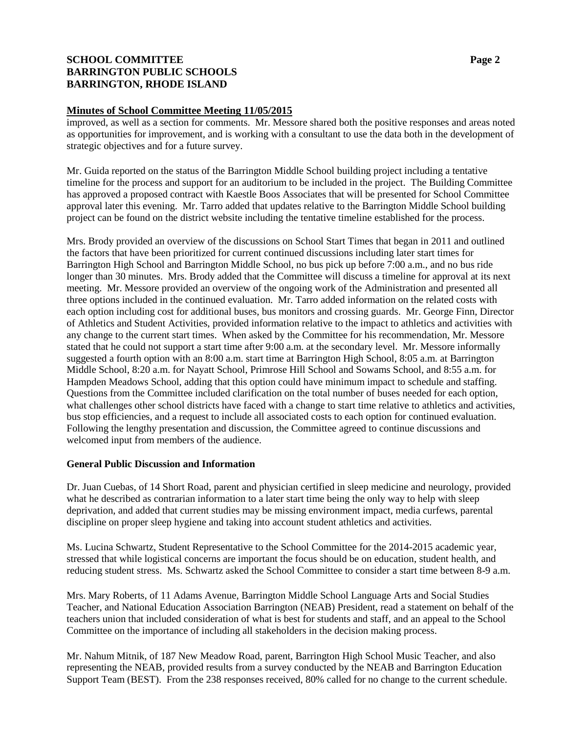# **SCHOOL COMMITTEE Page 2 BARRINGTON PUBLIC SCHOOLS BARRINGTON, RHODE ISLAND**

#### **Minutes of School Committee Meeting 11/05/2015**

improved, as well as a section for comments. Mr. Messore shared both the positive responses and areas noted as opportunities for improvement, and is working with a consultant to use the data both in the development of strategic objectives and for a future survey.

Mr. Guida reported on the status of the Barrington Middle School building project including a tentative timeline for the process and support for an auditorium to be included in the project. The Building Committee has approved a proposed contract with Kaestle Boos Associates that will be presented for School Committee approval later this evening. Mr. Tarro added that updates relative to the Barrington Middle School building project can be found on the district website including the tentative timeline established for the process.

Mrs. Brody provided an overview of the discussions on School Start Times that began in 2011 and outlined the factors that have been prioritized for current continued discussions including later start times for Barrington High School and Barrington Middle School, no bus pick up before 7:00 a.m., and no bus ride longer than 30 minutes. Mrs. Brody added that the Committee will discuss a timeline for approval at its next meeting. Mr. Messore provided an overview of the ongoing work of the Administration and presented all three options included in the continued evaluation. Mr. Tarro added information on the related costs with each option including cost for additional buses, bus monitors and crossing guards. Mr. George Finn, Director of Athletics and Student Activities, provided information relative to the impact to athletics and activities with any change to the current start times. When asked by the Committee for his recommendation, Mr. Messore stated that he could not support a start time after 9:00 a.m. at the secondary level. Mr. Messore informally suggested a fourth option with an 8:00 a.m. start time at Barrington High School, 8:05 a.m. at Barrington Middle School, 8:20 a.m. for Nayatt School, Primrose Hill School and Sowams School, and 8:55 a.m. for Hampden Meadows School, adding that this option could have minimum impact to schedule and staffing. Questions from the Committee included clarification on the total number of buses needed for each option, what challenges other school districts have faced with a change to start time relative to athletics and activities, bus stop efficiencies, and a request to include all associated costs to each option for continued evaluation. Following the lengthy presentation and discussion, the Committee agreed to continue discussions and welcomed input from members of the audience.

#### **General Public Discussion and Information**

Dr. Juan Cuebas, of 14 Short Road, parent and physician certified in sleep medicine and neurology, provided what he described as contrarian information to a later start time being the only way to help with sleep deprivation, and added that current studies may be missing environment impact, media curfews, parental discipline on proper sleep hygiene and taking into account student athletics and activities.

Ms. Lucina Schwartz, Student Representative to the School Committee for the 2014-2015 academic year, stressed that while logistical concerns are important the focus should be on education, student health, and reducing student stress. Ms. Schwartz asked the School Committee to consider a start time between 8-9 a.m.

Mrs. Mary Roberts, of 11 Adams Avenue, Barrington Middle School Language Arts and Social Studies Teacher, and National Education Association Barrington (NEAB) President, read a statement on behalf of the teachers union that included consideration of what is best for students and staff, and an appeal to the School Committee on the importance of including all stakeholders in the decision making process.

Mr. Nahum Mitnik, of 187 New Meadow Road, parent, Barrington High School Music Teacher, and also representing the NEAB, provided results from a survey conducted by the NEAB and Barrington Education Support Team (BEST). From the 238 responses received, 80% called for no change to the current schedule.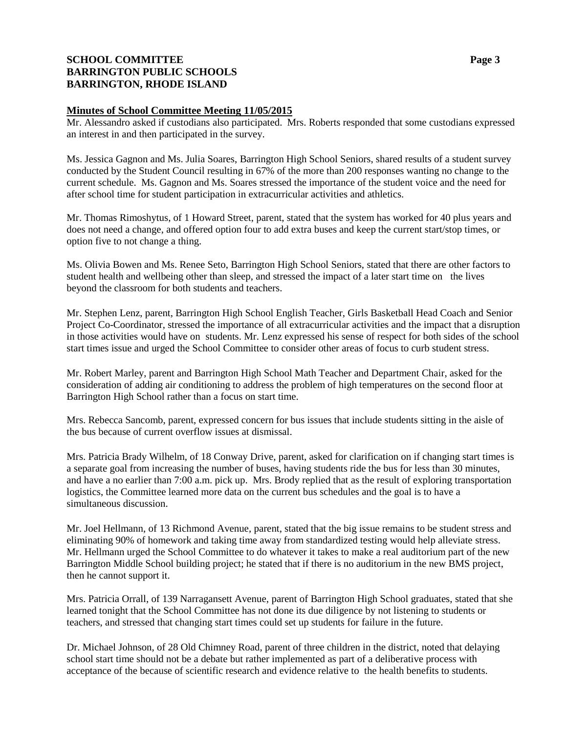# **SCHOOL COMMITTEE Page 3 BARRINGTON PUBLIC SCHOOLS BARRINGTON, RHODE ISLAND**

#### **Minutes of School Committee Meeting 11/05/2015**

Mr. Alessandro asked if custodians also participated. Mrs. Roberts responded that some custodians expressed an interest in and then participated in the survey.

Ms. Jessica Gagnon and Ms. Julia Soares, Barrington High School Seniors, shared results of a student survey conducted by the Student Council resulting in 67% of the more than 200 responses wanting no change to the current schedule. Ms. Gagnon and Ms. Soares stressed the importance of the student voice and the need for after school time for student participation in extracurricular activities and athletics.

Mr. Thomas Rimoshytus, of 1 Howard Street, parent, stated that the system has worked for 40 plus years and does not need a change, and offered option four to add extra buses and keep the current start/stop times, or option five to not change a thing.

Ms. Olivia Bowen and Ms. Renee Seto, Barrington High School Seniors, stated that there are other factors to student health and wellbeing other than sleep, and stressed the impact of a later start time on the lives beyond the classroom for both students and teachers.

Mr. Stephen Lenz, parent, Barrington High School English Teacher, Girls Basketball Head Coach and Senior Project Co-Coordinator, stressed the importance of all extracurricular activities and the impact that a disruption in those activities would have on students. Mr. Lenz expressed his sense of respect for both sides of the school start times issue and urged the School Committee to consider other areas of focus to curb student stress.

Mr. Robert Marley, parent and Barrington High School Math Teacher and Department Chair, asked for the consideration of adding air conditioning to address the problem of high temperatures on the second floor at Barrington High School rather than a focus on start time.

Mrs. Rebecca Sancomb, parent, expressed concern for bus issues that include students sitting in the aisle of the bus because of current overflow issues at dismissal.

Mrs. Patricia Brady Wilhelm, of 18 Conway Drive, parent, asked for clarification on if changing start times is a separate goal from increasing the number of buses, having students ride the bus for less than 30 minutes, and have a no earlier than 7:00 a.m. pick up. Mrs. Brody replied that as the result of exploring transportation logistics, the Committee learned more data on the current bus schedules and the goal is to have a simultaneous discussion.

Mr. Joel Hellmann, of 13 Richmond Avenue, parent, stated that the big issue remains to be student stress and eliminating 90% of homework and taking time away from standardized testing would help alleviate stress. Mr. Hellmann urged the School Committee to do whatever it takes to make a real auditorium part of the new Barrington Middle School building project; he stated that if there is no auditorium in the new BMS project, then he cannot support it.

Mrs. Patricia Orrall, of 139 Narragansett Avenue, parent of Barrington High School graduates, stated that she learned tonight that the School Committee has not done its due diligence by not listening to students or teachers, and stressed that changing start times could set up students for failure in the future.

Dr. Michael Johnson, of 28 Old Chimney Road, parent of three children in the district, noted that delaying school start time should not be a debate but rather implemented as part of a deliberative process with acceptance of the because of scientific research and evidence relative to the health benefits to students.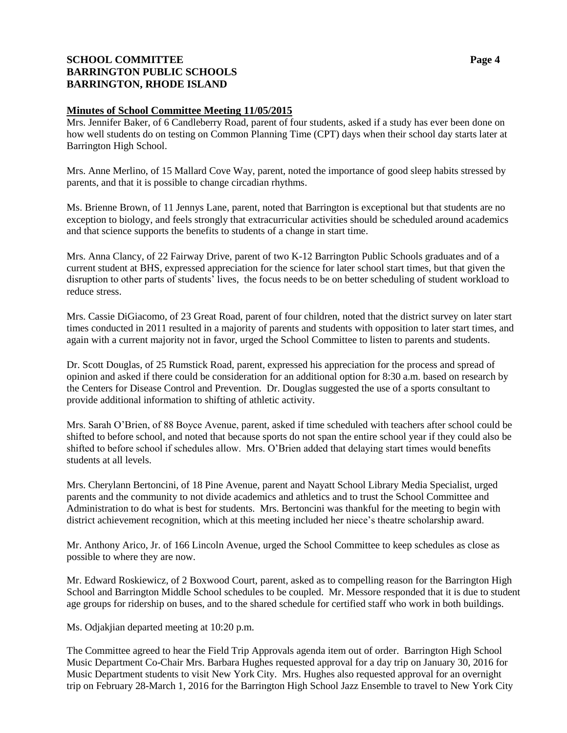# **SCHOOL COMMITTEE Page 4 BARRINGTON PUBLIC SCHOOLS BARRINGTON, RHODE ISLAND**

## **Minutes of School Committee Meeting 11/05/2015**

Mrs. Jennifer Baker, of 6 Candleberry Road, parent of four students, asked if a study has ever been done on how well students do on testing on Common Planning Time (CPT) days when their school day starts later at Barrington High School.

Mrs. Anne Merlino, of 15 Mallard Cove Way, parent, noted the importance of good sleep habits stressed by parents, and that it is possible to change circadian rhythms.

Ms. Brienne Brown, of 11 Jennys Lane, parent, noted that Barrington is exceptional but that students are no exception to biology, and feels strongly that extracurricular activities should be scheduled around academics and that science supports the benefits to students of a change in start time.

Mrs. Anna Clancy, of 22 Fairway Drive, parent of two K-12 Barrington Public Schools graduates and of a current student at BHS, expressed appreciation for the science for later school start times, but that given the disruption to other parts of students' lives, the focus needs to be on better scheduling of student workload to reduce stress.

Mrs. Cassie DiGiacomo, of 23 Great Road, parent of four children, noted that the district survey on later start times conducted in 2011 resulted in a majority of parents and students with opposition to later start times, and again with a current majority not in favor, urged the School Committee to listen to parents and students.

Dr. Scott Douglas, of 25 Rumstick Road, parent, expressed his appreciation for the process and spread of opinion and asked if there could be consideration for an additional option for 8:30 a.m. based on research by the Centers for Disease Control and Prevention. Dr. Douglas suggested the use of a sports consultant to provide additional information to shifting of athletic activity.

Mrs. Sarah O'Brien, of 88 Boyce Avenue, parent, asked if time scheduled with teachers after school could be shifted to before school, and noted that because sports do not span the entire school year if they could also be shifted to before school if schedules allow. Mrs. O'Brien added that delaying start times would benefits students at all levels.

Mrs. Cherylann Bertoncini, of 18 Pine Avenue, parent and Nayatt School Library Media Specialist, urged parents and the community to not divide academics and athletics and to trust the School Committee and Administration to do what is best for students. Mrs. Bertoncini was thankful for the meeting to begin with district achievement recognition, which at this meeting included her niece's theatre scholarship award.

Mr. Anthony Arico, Jr. of 166 Lincoln Avenue, urged the School Committee to keep schedules as close as possible to where they are now.

Mr. Edward Roskiewicz, of 2 Boxwood Court, parent, asked as to compelling reason for the Barrington High School and Barrington Middle School schedules to be coupled. Mr. Messore responded that it is due to student age groups for ridership on buses, and to the shared schedule for certified staff who work in both buildings.

Ms. Odjakjian departed meeting at 10:20 p.m.

The Committee agreed to hear the Field Trip Approvals agenda item out of order. Barrington High School Music Department Co-Chair Mrs. Barbara Hughes requested approval for a day trip on January 30, 2016 for Music Department students to visit New York City. Mrs. Hughes also requested approval for an overnight trip on February 28-March 1, 2016 for the Barrington High School Jazz Ensemble to travel to New York City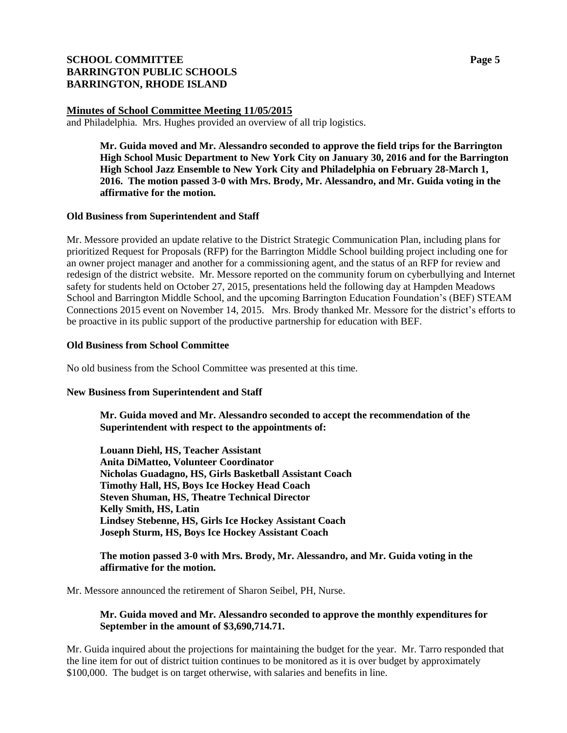# **SCHOOL COMMITTEE Page 5 BARRINGTON PUBLIC SCHOOLS BARRINGTON, RHODE ISLAND**

#### **Minutes of School Committee Meeting 11/05/2015**

and Philadelphia. Mrs. Hughes provided an overview of all trip logistics.

**Mr. Guida moved and Mr. Alessandro seconded to approve the field trips for the Barrington High School Music Department to New York City on January 30, 2016 and for the Barrington High School Jazz Ensemble to New York City and Philadelphia on February 28-March 1, 2016. The motion passed 3-0 with Mrs. Brody, Mr. Alessandro, and Mr. Guida voting in the affirmative for the motion.**

#### **Old Business from Superintendent and Staff**

Mr. Messore provided an update relative to the District Strategic Communication Plan, including plans for prioritized Request for Proposals (RFP) for the Barrington Middle School building project including one for an owner project manager and another for a commissioning agent, and the status of an RFP for review and redesign of the district website. Mr. Messore reported on the community forum on cyberbullying and Internet safety for students held on October 27, 2015, presentations held the following day at Hampden Meadows School and Barrington Middle School, and the upcoming Barrington Education Foundation's (BEF) STEAM Connections 2015 event on November 14, 2015. Mrs. Brody thanked Mr. Messore for the district's efforts to be proactive in its public support of the productive partnership for education with BEF.

#### **Old Business from School Committee**

No old business from the School Committee was presented at this time.

#### **New Business from Superintendent and Staff**

**Mr. Guida moved and Mr. Alessandro seconded to accept the recommendation of the Superintendent with respect to the appointments of:** 

**Louann Diehl, HS, Teacher Assistant Anita DiMatteo, Volunteer Coordinator Nicholas Guadagno, HS, Girls Basketball Assistant Coach Timothy Hall, HS, Boys Ice Hockey Head Coach Steven Shuman, HS, Theatre Technical Director Kelly Smith, HS, Latin Lindsey Stebenne, HS, Girls Ice Hockey Assistant Coach Joseph Sturm, HS, Boys Ice Hockey Assistant Coach**

#### **The motion passed 3-0 with Mrs. Brody, Mr. Alessandro, and Mr. Guida voting in the affirmative for the motion.**

Mr. Messore announced the retirement of Sharon Seibel, PH, Nurse.

## **Mr. Guida moved and Mr. Alessandro seconded to approve the monthly expenditures for September in the amount of \$3,690,714.71.**

Mr. Guida inquired about the projections for maintaining the budget for the year. Mr. Tarro responded that the line item for out of district tuition continues to be monitored as it is over budget by approximately \$100,000. The budget is on target otherwise, with salaries and benefits in line.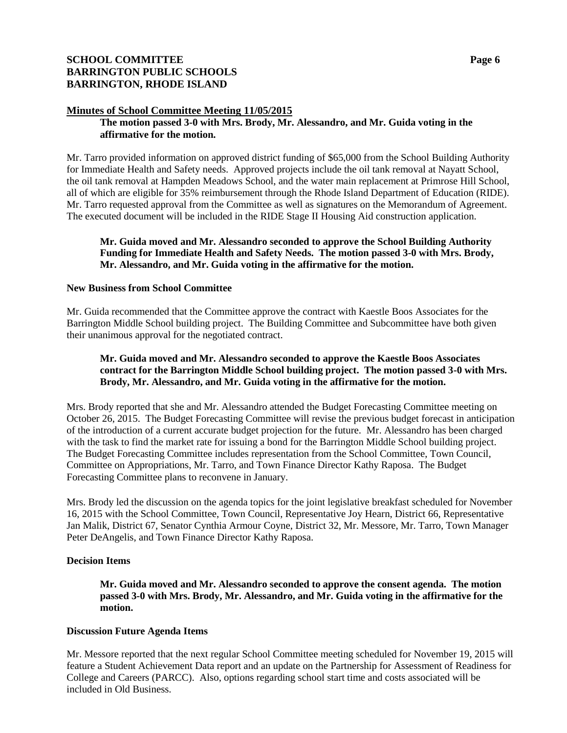# **SCHOOL COMMITTEE Page 6 BARRINGTON PUBLIC SCHOOLS BARRINGTON, RHODE ISLAND**

#### **Minutes of School Committee Meeting 11/05/2015**

#### **The motion passed 3-0 with Mrs. Brody, Mr. Alessandro, and Mr. Guida voting in the affirmative for the motion.**

Mr. Tarro provided information on approved district funding of \$65,000 from the School Building Authority for Immediate Health and Safety needs. Approved projects include the oil tank removal at Nayatt School, the oil tank removal at Hampden Meadows School, and the water main replacement at Primrose Hill School, all of which are eligible for 35% reimbursement through the Rhode Island Department of Education (RIDE). Mr. Tarro requested approval from the Committee as well as signatures on the Memorandum of Agreement. The executed document will be included in the RIDE Stage II Housing Aid construction application.

#### **Mr. Guida moved and Mr. Alessandro seconded to approve the School Building Authority Funding for Immediate Health and Safety Needs. The motion passed 3-0 with Mrs. Brody, Mr. Alessandro, and Mr. Guida voting in the affirmative for the motion.**

#### **New Business from School Committee**

Mr. Guida recommended that the Committee approve the contract with Kaestle Boos Associates for the Barrington Middle School building project. The Building Committee and Subcommittee have both given their unanimous approval for the negotiated contract.

## **Mr. Guida moved and Mr. Alessandro seconded to approve the Kaestle Boos Associates contract for the Barrington Middle School building project. The motion passed 3-0 with Mrs. Brody, Mr. Alessandro, and Mr. Guida voting in the affirmative for the motion.**

Mrs. Brody reported that she and Mr. Alessandro attended the Budget Forecasting Committee meeting on October 26, 2015. The Budget Forecasting Committee will revise the previous budget forecast in anticipation of the introduction of a current accurate budget projection for the future. Mr. Alessandro has been charged with the task to find the market rate for issuing a bond for the Barrington Middle School building project. The Budget Forecasting Committee includes representation from the School Committee, Town Council, Committee on Appropriations, Mr. Tarro, and Town Finance Director Kathy Raposa. The Budget Forecasting Committee plans to reconvene in January.

Mrs. Brody led the discussion on the agenda topics for the joint legislative breakfast scheduled for November 16, 2015 with the School Committee, Town Council, Representative Joy Hearn, District 66, Representative Jan Malik, District 67, Senator Cynthia Armour Coyne, District 32, Mr. Messore, Mr. Tarro, Town Manager Peter DeAngelis, and Town Finance Director Kathy Raposa.

#### **Decision Items**

**Mr. Guida moved and Mr. Alessandro seconded to approve the consent agenda. The motion passed 3-0 with Mrs. Brody, Mr. Alessandro, and Mr. Guida voting in the affirmative for the motion.**

#### **Discussion Future Agenda Items**

Mr. Messore reported that the next regular School Committee meeting scheduled for November 19, 2015 will feature a Student Achievement Data report and an update on the Partnership for Assessment of Readiness for College and Careers (PARCC). Also, options regarding school start time and costs associated will be included in Old Business.